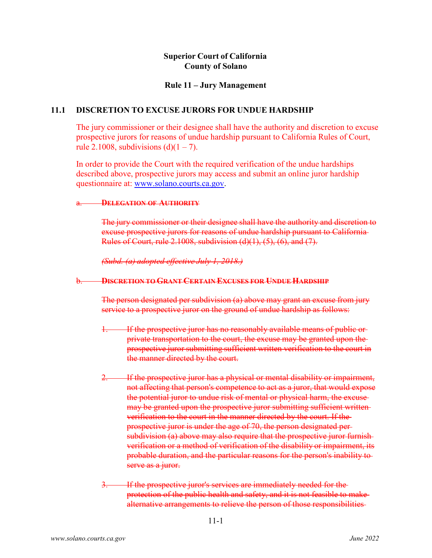# **Superior Court of California County of Solano**

## **Rule 11 – Jury Management**

## **11.1 DISCRETION TO EXCUSE JURORS FOR UNDUE HARDSHIP**

The jury commissioner or their designee shall have the authority and discretion to excuse prospective jurors for reasons of undue hardship pursuant to California Rules of Court, rule 2.1008, subdivisions  $(d)(1 – 7)$ .

In order to provide the Court with the required verification of the undue hardships described above, prospective jurors may access and submit an online juror hardship questionnaire at: [www.solano.courts.ca.gov.](http://www.solano.courts.ca.gov/)

### a. **DELEGATION OF AUTHORITY**

The jury commissioner or their designee shall have the authority and discretion to excuse prospective jurors for reasons of undue hardship pursuant to California Rules of Court, rule 2.1008, subdivision (d)(1), (5), (6), and (7).

*(Subd. (a) adopted effective July 1, 2018.)*

## b. **DISCRETION TO GRANT CERTAIN EXCUSES FOR UNDUE HARDSHIP**

The person designated per subdivision (a) above may grant an excuse from jury service to a prospective juror on the ground of undue hardship as follows:

- 1. If the prospective juror has no reasonably available means of public or private transportation to the court, the excuse may be granted upon the prospective juror submitting sufficient written verification to the court in the manner directed by the court.
- If the prospective juror has a physical or mental disability or impairment, not affecting that person's competence to act as a juror, that would expose the potential juror to undue risk of mental or physical harm, the excuse may be granted upon the prospective juror submitting sufficient writtenverification to the court in the manner directed by the court. If the prospective juror is under the age of 70, the person designated per subdivision (a) above may also require that the prospective juror furnishverification or a method of verification of the disability or impairment, its probable duration, and the particular reasons for the person's inability to serve as a juror.
- 3. If the prospective juror's services are immediately needed for the protection of the public health and safety, and it is not feasible to make alternative arrangements to relieve the person of those responsibilities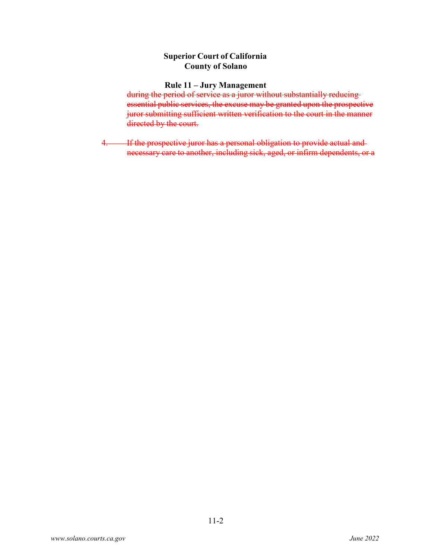# **Superior Court of California County of Solano**

### **Rule 11 – Jury Management**

during the period of service as a juror without substantially reducing essential public services, the excuse may be granted upon the prospective juror submitting sufficient written verification to the court in the manner directed by the court.

4. If the prospective juror has a personal obligation to provide actual and necessary care to another, including sick, aged, or infirm dependents, or a